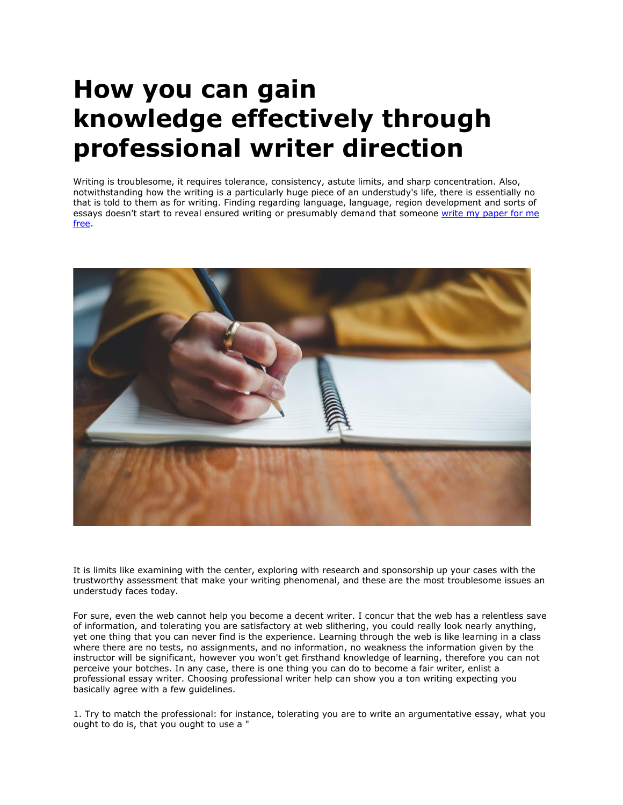## **How you can gain knowledge effectively through professional writer direction**

Writing is troublesome, it requires tolerance, consistency, astute limits, and sharp concentration. Also, notwithstanding how the writing is a particularly huge piece of an understudy's life, there is essentially no that is told to them as for writing. Finding regarding language, language, region development and sorts of essays doesn't start to reveal ensured writing or presumably demand that someone write my paper for me [free.](https://essayhours.com/)



It is limits like examining with the center, exploring with research and sponsorship up your cases with the trustworthy assessment that make your writing phenomenal, and these are the most troublesome issues an understudy faces today.

For sure, even the web cannot help you become a decent writer. I concur that the web has a relentless save of information, and tolerating you are satisfactory at web slithering, you could really look nearly anything, yet one thing that you can never find is the experience. Learning through the web is like learning in a class where there are no tests, no assignments, and no information, no weakness the information given by the instructor will be significant, however you won't get firsthand knowledge of learning, therefore you can not perceive your botches. In any case, there is one thing you can do to become a fair writer, enlist a professional essay writer. Choosing professional writer help can show you a ton writing expecting you basically agree with a few guidelines.

1. Try to match the professional: for instance, tolerating you are to write an argumentative essay, what you ought to do is, that you ought to use a "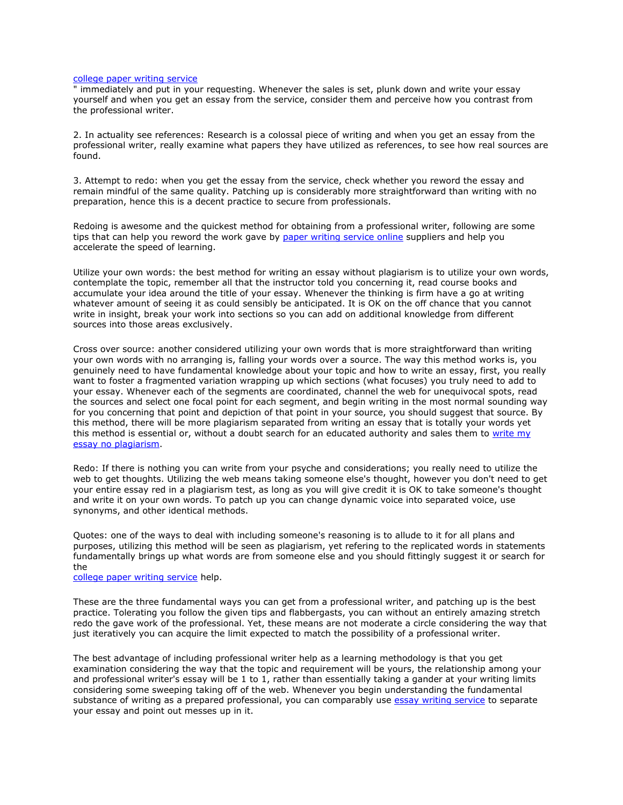## [college paper writing service](https://www.collegeessay.org/)

" immediately and put in your requesting. Whenever the sales is set, plunk down and write your essay yourself and when you get an essay from the service, consider them and perceive how you contrast from the professional writer.

2. In actuality see references: Research is a colossal piece of writing and when you get an essay from the professional writer, really examine what papers they have utilized as references, to see how real sources are found.

3. Attempt to redo: when you get the essay from the service, check whether you reword the essay and remain mindful of the same quality. Patching up is considerably more straightforward than writing with no preparation, hence this is a decent practice to secure from professionals.

Redoing is awesome and the quickest method for obtaining from a professional writer, following are some tips that can help you reword the work gave by [paper writing service online](https://www.sharkpapers.com/) suppliers and help you accelerate the speed of learning.

Utilize your own words: the best method for writing an essay without plagiarism is to utilize your own words, contemplate the topic, remember all that the instructor told you concerning it, read course books and accumulate your idea around the title of your essay. Whenever the thinking is firm have a go at writing whatever amount of seeing it as could sensibly be anticipated. It is OK on the off chance that you cannot write in insight, break your work into sections so you can add on additional knowledge from different sources into those areas exclusively.

Cross over source: another considered utilizing your own words that is more straightforward than writing your own words with no arranging is, falling your words over a source. The way this method works is, you genuinely need to have fundamental knowledge about your topic and how to write an essay, first, you really want to foster a fragmented variation wrapping up which sections (what focuses) you truly need to add to your essay. Whenever each of the segments are coordinated, channel the web for unequivocal spots, read the sources and select one focal point for each segment, and begin writing in the most normal sounding way for you concerning that point and depiction of that point in your source, you should suggest that source. By this method, there will be more plagiarism separated from writing an essay that is totally your words yet this method is essential or, without a doubt search for an educated authority and sales them to write my [essay no plagiarism.](https://www.collegeessay.org/)

Redo: If there is nothing you can write from your psyche and considerations; you really need to utilize the web to get thoughts. Utilizing the web means taking someone else's thought, however you don't need to get your entire essay red in a plagiarism test, as long as you will give credit it is OK to take someone's thought and write it on your own words. To patch up you can change dynamic voice into separated voice, use synonyms, and other identical methods.

Quotes: one of the ways to deal with including someone's reasoning is to allude to it for all plans and purposes, utilizing this method will be seen as plagiarism, yet refering to the replicated words in statements fundamentally brings up what words are from someone else and you should fittingly suggest it or search for the

[college paper writing service](https://www.sharkpapers.com/write-my-paper/where-can-i-pay-someone-to-write-my-paper) help.

These are the three fundamental ways you can get from a professional writer, and patching up is the best practice. Tolerating you follow the given tips and flabbergasts, you can without an entirely amazing stretch redo the gave work of the professional. Yet, these means are not moderate a circle considering the way that just iteratively you can acquire the limit expected to match the possibility of a professional writer.

The best advantage of including professional writer help as a learning methodology is that you get examination considering the way that the topic and requirement will be yours, the relationship among your and professional writer's essay will be 1 to 1, rather than essentially taking a gander at your writing limits considering some sweeping taking off of the web. Whenever you begin understanding the fundamental substance of writing as a prepared professional, you can comparably use [essay writing service](https://www.essaywritingservice.college/) to separate your essay and point out messes up in it.